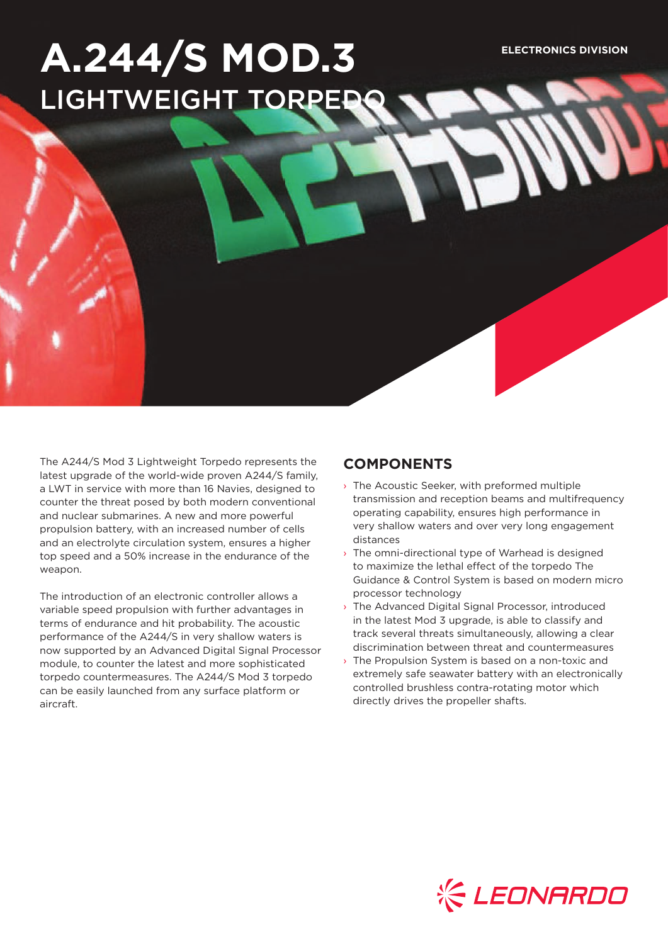# **A.244/S MOD.3 ELECTRONICS DIVISION** LIGHTWEIGHT TORPE

The A244/S Mod 3 Lightweight Torpedo represents the latest upgrade of the world-wide proven A244/S family, a LWT in service with more than 16 Navies, designed to counter the threat posed by both modern conventional and nuclear submarines. A new and more powerful propulsion battery, with an increased number of cells and an electrolyte circulation system, ensures a higher top speed and a 50% increase in the endurance of the weapon.

The introduction of an electronic controller allows a variable speed propulsion with further advantages in terms of endurance and hit probability. The acoustic performance of the A244/S in very shallow waters is now supported by an Advanced Digital Signal Processor module, to counter the latest and more sophisticated torpedo countermeasures. The A244/S Mod 3 torpedo can be easily launched from any surface platform or aircraft.

## **COMPONENTS**

- › The Acoustic Seeker, with preformed multiple transmission and reception beams and multifrequency operating capability, ensures high performance in very shallow waters and over very long engagement distances
- › The omni-directional type of Warhead is designed to maximize the lethal effect of the torpedo The Guidance & Control System is based on modern micro processor technology
- › The Advanced Digital Signal Processor, introduced in the latest Mod 3 upgrade, is able to classify and track several threats simultaneously, allowing a clear discrimination between threat and countermeasures
- › The Propulsion System is based on a non-toxic and extremely safe seawater battery with an electronically controlled brushless contra-rotating motor which directly drives the propeller shafts.